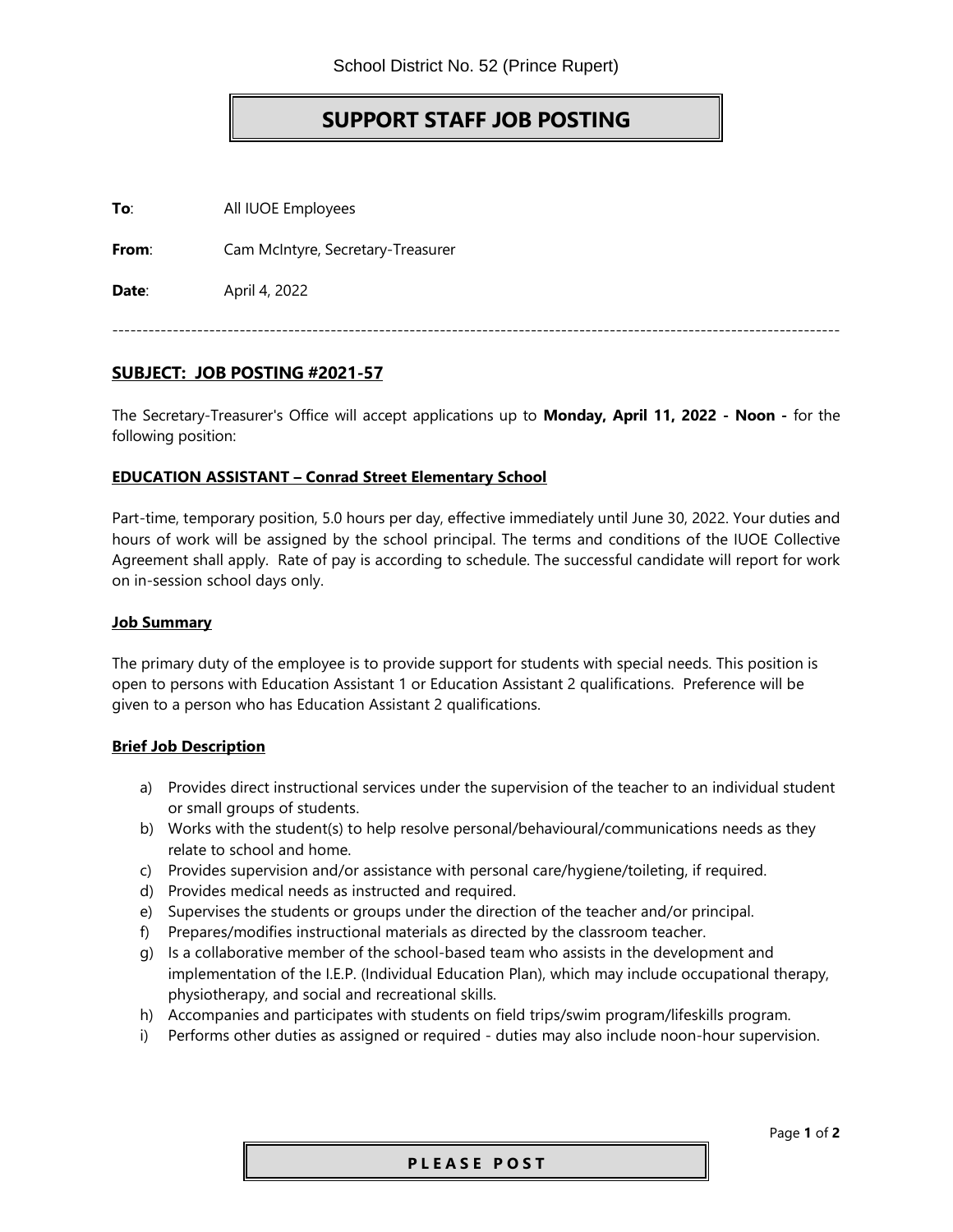## **SUPPORT STAFF JOB POSTING**

**To**: All IUOE Employees

**From**: Cam McIntyre, Secretary-Treasurer

**Date**: April 4, 2022

------------------------------------------------------------------------------------------------------------------------

## **SUBJECT: JOB POSTING #2021-57**

The Secretary-Treasurer's Office will accept applications up to **Monday, April 11, 2022 - Noon -** for the following position:

### **EDUCATION ASSISTANT – Conrad Street Elementary School**

Part-time, temporary position, 5.0 hours per day, effective immediately until June 30, 2022. Your duties and hours of work will be assigned by the school principal. The terms and conditions of the IUOE Collective Agreement shall apply. Rate of pay is according to schedule. The successful candidate will report for work on in-session school days only.

#### **Job Summary**

The primary duty of the employee is to provide support for students with special needs. This position is open to persons with Education Assistant 1 or Education Assistant 2 qualifications. Preference will be given to a person who has Education Assistant 2 qualifications.

#### **Brief Job Description**

- a) Provides direct instructional services under the supervision of the teacher to an individual student or small groups of students.
- b) Works with the student(s) to help resolve personal/behavioural/communications needs as they relate to school and home.
- c) Provides supervision and/or assistance with personal care/hygiene/toileting, if required.
- d) Provides medical needs as instructed and required.
- e) Supervises the students or groups under the direction of the teacher and/or principal.
- f) Prepares/modifies instructional materials as directed by the classroom teacher.
- g) Is a collaborative member of the school-based team who assists in the development and implementation of the I.E.P. (Individual Education Plan), which may include occupational therapy, physiotherapy, and social and recreational skills.
- h) Accompanies and participates with students on field trips/swim program/lifeskills program.
- i) Performs other duties as assigned or required duties may also include noon-hour supervision.